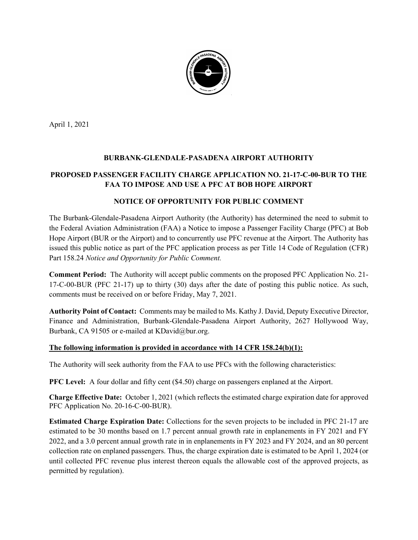

April 1, 2021

## BURBANK-GLENDALE-PASADENA AIRPORT AUTHORITY

# PROPOSED PASSENGER FACILITY CHARGE APPLICATION NO. 21-17-C-00-BUR TO THE FAA TO IMPOSE AND USE A PFC AT BOB HOPE AIRPORT

#### NOTICE OF OPPORTUNITY FOR PUBLIC COMMENT

The Burbank-Glendale-Pasadena Airport Authority (the Authority) has determined the need to submit to the Federal Aviation Administration (FAA) a Notice to impose a Passenger Facility Charge (PFC) at Bob Hope Airport (BUR or the Airport) and to concurrently use PFC revenue at the Airport. The Authority has issued this public notice as part of the PFC application process as per Title 14 Code of Regulation (CFR) Part 158.24 Notice and Opportunity for Public Comment.

Comment Period: The Authority will accept public comments on the proposed PFC Application No. 21- 17-C-00-BUR (PFC 21-17) up to thirty (30) days after the date of posting this public notice. As such, comments must be received on or before Friday, May 7, 2021.

Authority Point of Contact: Comments may be mailed to Ms. Kathy J. David, Deputy Executive Director, Finance and Administration, Burbank-Glendale-Pasadena Airport Authority, 2627 Hollywood Way, Burbank, CA 91505 or e-mailed at KDavid@bur.org.

#### The following information is provided in accordance with 14 CFR 158.24(b)(1):

The Authority will seek authority from the FAA to use PFCs with the following characteristics:

PFC Level: A four dollar and fifty cent (\$4.50) charge on passengers enplaned at the Airport.

Charge Effective Date: October 1, 2021 (which reflects the estimated charge expiration date for approved PFC Application No. 20-16-C-00-BUR).

Estimated Charge Expiration Date: Collections for the seven projects to be included in PFC 21-17 are estimated to be 30 months based on 1.7 percent annual growth rate in enplanements in FY 2021 and FY 2022, and a 3.0 percent annual growth rate in in enplanements in FY 2023 and FY 2024, and an 80 percent collection rate on enplaned passengers. Thus, the charge expiration date is estimated to be April 1, 2024 (or until collected PFC revenue plus interest thereon equals the allowable cost of the approved projects, as permitted by regulation).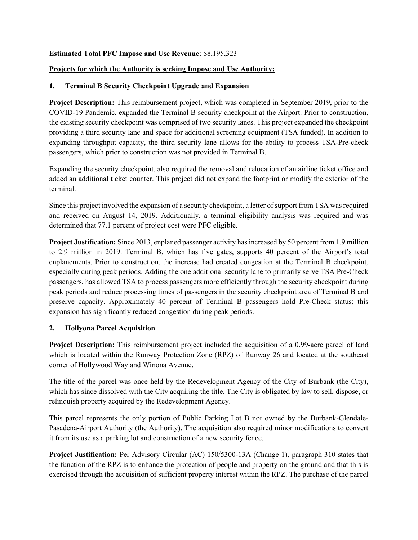#### Estimated Total PFC Impose and Use Revenue: \$8,195,323

#### Projects for which the Authority is seeking Impose and Use Authority:

#### 1. Terminal B Security Checkpoint Upgrade and Expansion

Project Description: This reimbursement project, which was completed in September 2019, prior to the COVID-19 Pandemic, expanded the Terminal B security checkpoint at the Airport. Prior to construction, the existing security checkpoint was comprised of two security lanes. This project expanded the checkpoint providing a third security lane and space for additional screening equipment (TSA funded). In addition to expanding throughput capacity, the third security lane allows for the ability to process TSA-Pre-check passengers, which prior to construction was not provided in Terminal B.

Expanding the security checkpoint, also required the removal and relocation of an airline ticket office and added an additional ticket counter. This project did not expand the footprint or modify the exterior of the terminal.

Since this project involved the expansion of a security checkpoint, a letter of support from TSA was required and received on August 14, 2019. Additionally, a terminal eligibility analysis was required and was determined that 77.1 percent of project cost were PFC eligible.

Project Justification: Since 2013, enplaned passenger activity has increased by 50 percent from 1.9 million to 2.9 million in 2019. Terminal B, which has five gates, supports 40 percent of the Airport's total enplanements. Prior to construction, the increase had created congestion at the Terminal B checkpoint, especially during peak periods. Adding the one additional security lane to primarily serve TSA Pre-Check passengers, has allowed TSA to process passengers more efficiently through the security checkpoint during peak periods and reduce processing times of passengers in the security checkpoint area of Terminal B and preserve capacity. Approximately 40 percent of Terminal B passengers hold Pre-Check status; this expansion has significantly reduced congestion during peak periods.

## 2. Hollyona Parcel Acquisition

Project Description: This reimbursement project included the acquisition of a 0.99-acre parcel of land which is located within the Runway Protection Zone (RPZ) of Runway 26 and located at the southeast corner of Hollywood Way and Winona Avenue.

The title of the parcel was once held by the Redevelopment Agency of the City of Burbank (the City), which has since dissolved with the City acquiring the title. The City is obligated by law to sell, dispose, or relinquish property acquired by the Redevelopment Agency.

This parcel represents the only portion of Public Parking Lot B not owned by the Burbank-Glendale-Pasadena-Airport Authority (the Authority). The acquisition also required minor modifications to convert it from its use as a parking lot and construction of a new security fence.

Project Justification: Per Advisory Circular (AC) 150/5300-13A (Change 1), paragraph 310 states that the function of the RPZ is to enhance the protection of people and property on the ground and that this is exercised through the acquisition of sufficient property interest within the RPZ. The purchase of the parcel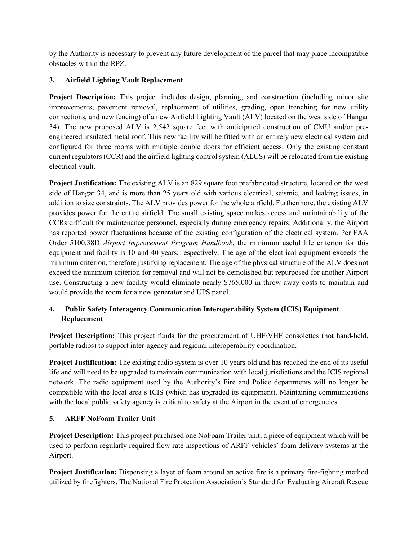by the Authority is necessary to prevent any future development of the parcel that may place incompatible obstacles within the RPZ.

# 3. Airfield Lighting Vault Replacement

Project Description: This project includes design, planning, and construction (including minor site improvements, pavement removal, replacement of utilities, grading, open trenching for new utility connections, and new fencing) of a new Airfield Lighting Vault (ALV) located on the west side of Hangar 34). The new proposed ALV is 2,542 square feet with anticipated construction of CMU and/or preengineered insulated metal roof. This new facility will be fitted with an entirely new electrical system and configured for three rooms with multiple double doors for efficient access. Only the existing constant current regulators (CCR) and the airfield lighting control system (ALCS) will be relocated from the existing electrical vault.

Project Justification: The existing ALV is an 829 square foot prefabricated structure, located on the west side of Hangar 34, and is more than 25 years old with various electrical, seismic, and leaking issues, in addition to size constraints. The ALV provides power for the whole airfield. Furthermore, the existing ALV provides power for the entire airfield. The small existing space makes access and maintainability of the CCRs difficult for maintenance personnel, especially during emergency repairs. Additionally, the Airport has reported power fluctuations because of the existing configuration of the electrical system. Per FAA Order 5100.38D Airport Improvement Program Handbook, the minimum useful life criterion for this equipment and facility is 10 and 40 years, respectively. The age of the electrical equipment exceeds the minimum criterion, therefore justifying replacement. The age of the physical structure of the ALV does not exceed the minimum criterion for removal and will not be demolished but repurposed for another Airport use. Constructing a new facility would eliminate nearly \$765,000 in throw away costs to maintain and would provide the room for a new generator and UPS panel.

# 4. Public Safety Interagency Communication Interoperability System (ICIS) Equipment Replacement

Project Description: This project funds for the procurement of UHF/VHF consolettes (not hand-held, portable radios) to support inter-agency and regional interoperability coordination.

Project Justification: The existing radio system is over 10 years old and has reached the end of its useful life and will need to be upgraded to maintain communication with local jurisdictions and the ICIS regional network. The radio equipment used by the Authority's Fire and Police departments will no longer be compatible with the local area's ICIS (which has upgraded its equipment). Maintaining communications with the local public safety agency is critical to safety at the Airport in the event of emergencies.

## 5. ARFF NoFoam Trailer Unit

Project Description: This project purchased one NoFoam Trailer unit, a piece of equipment which will be used to perform regularly required flow rate inspections of ARFF vehicles' foam delivery systems at the Airport.

Project Justification: Dispensing a layer of foam around an active fire is a primary fire-fighting method utilized by firefighters. The National Fire Protection Association's Standard for Evaluating Aircraft Rescue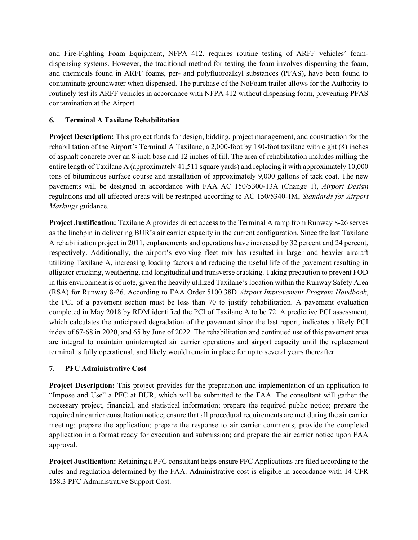and Fire-Fighting Foam Equipment, NFPA 412, requires routine testing of ARFF vehicles' foamdispensing systems. However, the traditional method for testing the foam involves dispensing the foam, and chemicals found in ARFF foams, per- and polyfluoroalkyl substances (PFAS), have been found to contaminate groundwater when dispensed. The purchase of the NoFoam trailer allows for the Authority to routinely test its ARFF vehicles in accordance with NFPA 412 without dispensing foam, preventing PFAS contamination at the Airport.

## 6. Terminal A Taxilane Rehabilitation

Project Description: This project funds for design, bidding, project management, and construction for the rehabilitation of the Airport's Terminal A Taxilane, a 2,000-foot by 180-foot taxilane with eight (8) inches of asphalt concrete over an 8-inch base and 12 inches of fill. The area of rehabilitation includes milling the entire length of Taxilane A (approximately 41,511 square yards) and replacing it with approximately 10,000 tons of bituminous surface course and installation of approximately 9,000 gallons of tack coat. The new pavements will be designed in accordance with FAA AC 150/5300-13A (Change 1), Airport Design regulations and all affected areas will be restriped according to AC 150/5340-1M, Standards for Airport Markings guidance.

Project Justification: Taxilane A provides direct access to the Terminal A ramp from Runway 8-26 serves as the linchpin in delivering BUR's air carrier capacity in the current configuration. Since the last Taxilane A rehabilitation project in 2011, enplanements and operations have increased by 32 percent and 24 percent, respectively. Additionally, the airport's evolving fleet mix has resulted in larger and heavier aircraft utilizing Taxilane A, increasing loading factors and reducing the useful life of the pavement resulting in alligator cracking, weathering, and longitudinal and transverse cracking. Taking precaution to prevent FOD in this environment is of note, given the heavily utilized Taxilane's location within the Runway Safety Area (RSA) for Runway 8-26. According to FAA Order 5100.38D Airport Improvement Program Handbook, the PCI of a pavement section must be less than 70 to justify rehabilitation. A pavement evaluation completed in May 2018 by RDM identified the PCI of Taxilane A to be 72. A predictive PCI assessment, which calculates the anticipated degradation of the pavement since the last report, indicates a likely PCI index of 67-68 in 2020, and 65 by June of 2022. The rehabilitation and continued use of this pavement area are integral to maintain uninterrupted air carrier operations and airport capacity until the replacement terminal is fully operational, and likely would remain in place for up to several years thereafter.

## 7. PFC Administrative Cost

Project Description: This project provides for the preparation and implementation of an application to "Impose and Use" a PFC at BUR, which will be submitted to the FAA. The consultant will gather the necessary project, financial, and statistical information; prepare the required public notice; prepare the required air carrier consultation notice; ensure that all procedural requirements are met during the air carrier meeting; prepare the application; prepare the response to air carrier comments; provide the completed application in a format ready for execution and submission; and prepare the air carrier notice upon FAA approval.

Project Justification: Retaining a PFC consultant helps ensure PFC Applications are filed according to the rules and regulation determined by the FAA. Administrative cost is eligible in accordance with 14 CFR 158.3 PFC Administrative Support Cost.